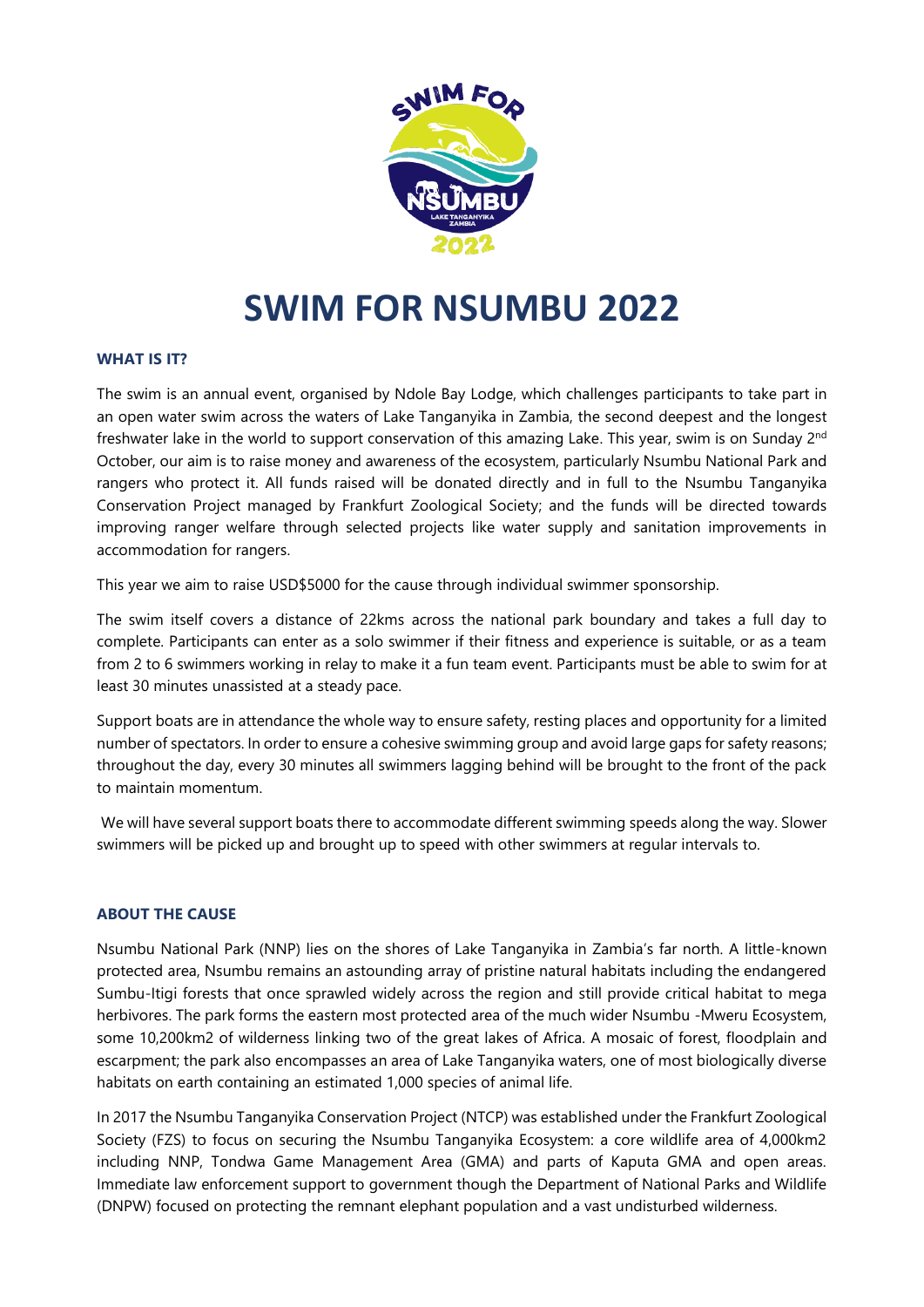

# **SWIM FOR NSUMBU 2022**

# **WHAT IS IT?**

The swim is an annual event, organised by Ndole Bay Lodge, which challenges participants to take part in an open water swim across the waters of Lake Tanganyika in Zambia, the second deepest and the longest freshwater lake in the world to support conservation of this amazing Lake. This year, swim is on Sunday 2<sup>nd</sup> October, our aim is to raise money and awareness of the ecosystem, particularly Nsumbu National Park and rangers who protect it. All funds raised will be donated directly and in full to the Nsumbu Tanganyika Conservation Project managed by Frankfurt Zoological Society; and the funds will be directed towards improving ranger welfare through selected projects like water supply and sanitation improvements in accommodation for rangers.

This year we aim to raise USD\$5000 for the cause through individual swimmer sponsorship.

The swim itself covers a distance of 22kms across the national park boundary and takes a full day to complete. Participants can enter as a solo swimmer if their fitness and experience is suitable, or as a team from 2 to 6 swimmers working in relay to make it a fun team event. Participants must be able to swim for at least 30 minutes unassisted at a steady pace.

Support boats are in attendance the whole way to ensure safety, resting places and opportunity for a limited number of spectators. In order to ensure a cohesive swimming group and avoid large gaps for safety reasons; throughout the day, every 30 minutes all swimmers lagging behind will be brought to the front of the pack to maintain momentum.

We will have several support boats there to accommodate different swimming speeds along the way. Slower swimmers will be picked up and brought up to speed with other swimmers at regular intervals to.

#### **ABOUT THE CAUSE**

Nsumbu National Park (NNP) lies on the shores of Lake Tanganyika in Zambia's far north. A little-known protected area, Nsumbu remains an astounding array of pristine natural habitats including the endangered Sumbu-Itigi forests that once sprawled widely across the region and still provide critical habitat to mega herbivores. The park forms the eastern most protected area of the much wider Nsumbu -Mweru Ecosystem, some 10,200km2 of wilderness linking two of the great lakes of Africa. A mosaic of forest, floodplain and escarpment; the park also encompasses an area of Lake Tanganyika waters, one of most biologically diverse habitats on earth containing an estimated 1,000 species of animal life.

In 2017 the Nsumbu Tanganyika Conservation Project (NTCP) was established under the Frankfurt Zoological Society (FZS) to focus on securing the Nsumbu Tanganyika Ecosystem: a core wildlife area of 4,000km2 including NNP, Tondwa Game Management Area (GMA) and parts of Kaputa GMA and open areas. Immediate law enforcement support to government though the Department of National Parks and Wildlife (DNPW) focused on protecting the remnant elephant population and a vast undisturbed wilderness.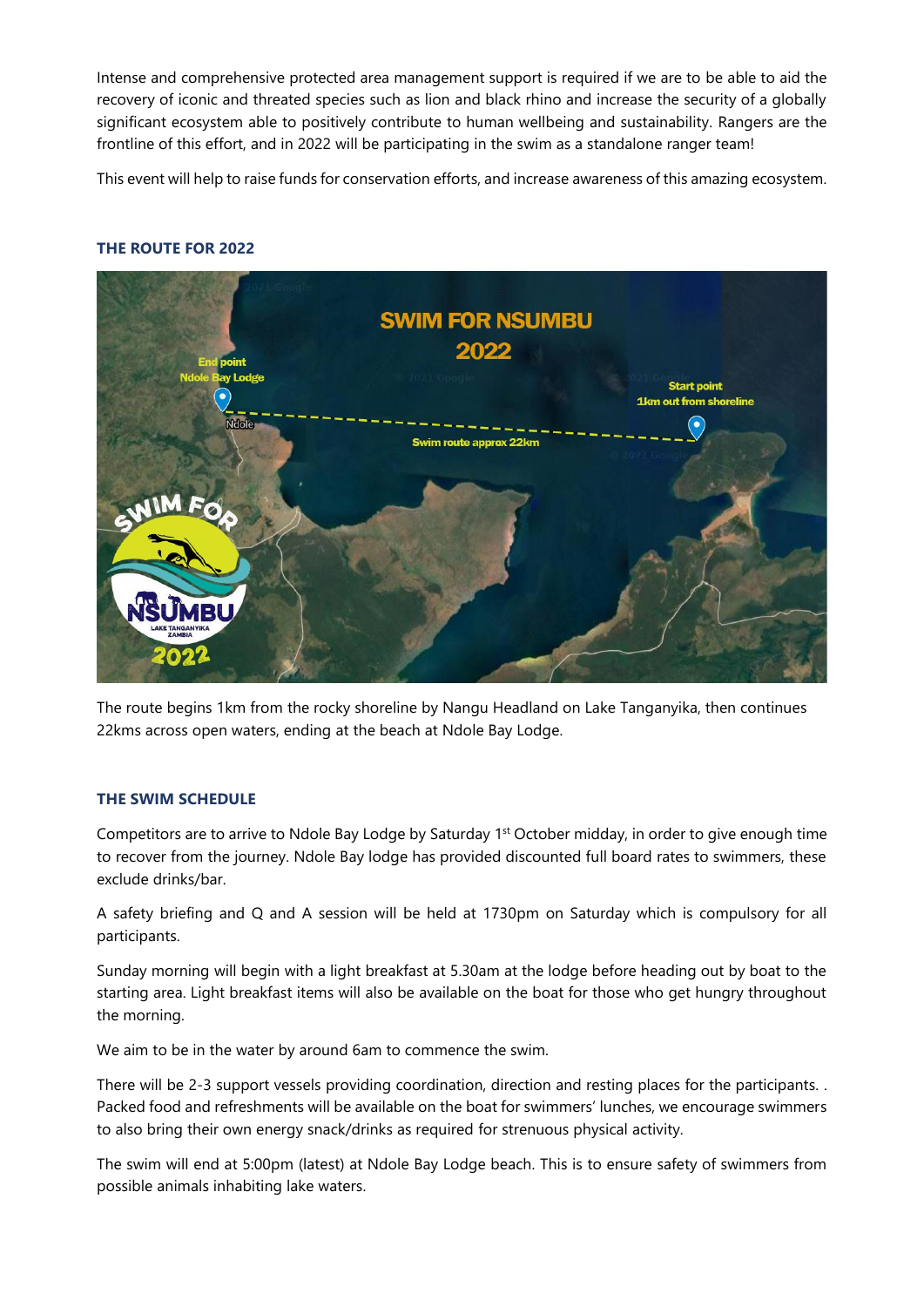Intense and comprehensive protected area management support is required if we are to be able to aid the recovery of iconic and threated species such as lion and black rhino and increase the security of a globally significant ecosystem able to positively contribute to human wellbeing and sustainability. Rangers are the frontline of this effort, and in 2022 will be participating in the swim as a standalone ranger team!

This event will help to raise funds for conservation efforts, and increase awareness of this amazing ecosystem.

# **SWIM FOR NSUMBU** 2022 **Start point** 1km out from shoreline **Nidole** Swim route approx 22km 022

# **THE ROUTE FOR 2022**

The route begins 1km from the rocky shoreline by Nangu Headland on Lake Tanganyika, then continues 22kms across open waters, ending at the beach at Ndole Bay Lodge.

#### **THE SWIM SCHEDULE**

Competitors are to arrive to Ndole Bay Lodge by Saturday 1<sup>st</sup> October midday, in order to give enough time to recover from the journey. Ndole Bay lodge has provided discounted full board rates to swimmers, these exclude drinks/bar.

A safety briefing and Q and A session will be held at 1730pm on Saturday which is compulsory for all participants.

Sunday morning will begin with a light breakfast at 5.30am at the lodge before heading out by boat to the starting area. Light breakfast items will also be available on the boat for those who get hungry throughout the morning.

We aim to be in the water by around 6am to commence the swim.

There will be 2-3 support vessels providing coordination, direction and resting places for the participants. . Packed food and refreshments will be available on the boat for swimmers' lunches, we encourage swimmers to also bring their own energy snack/drinks as required for strenuous physical activity.

The swim will end at 5:00pm (latest) at Ndole Bay Lodge beach. This is to ensure safety of swimmers from possible animals inhabiting lake waters.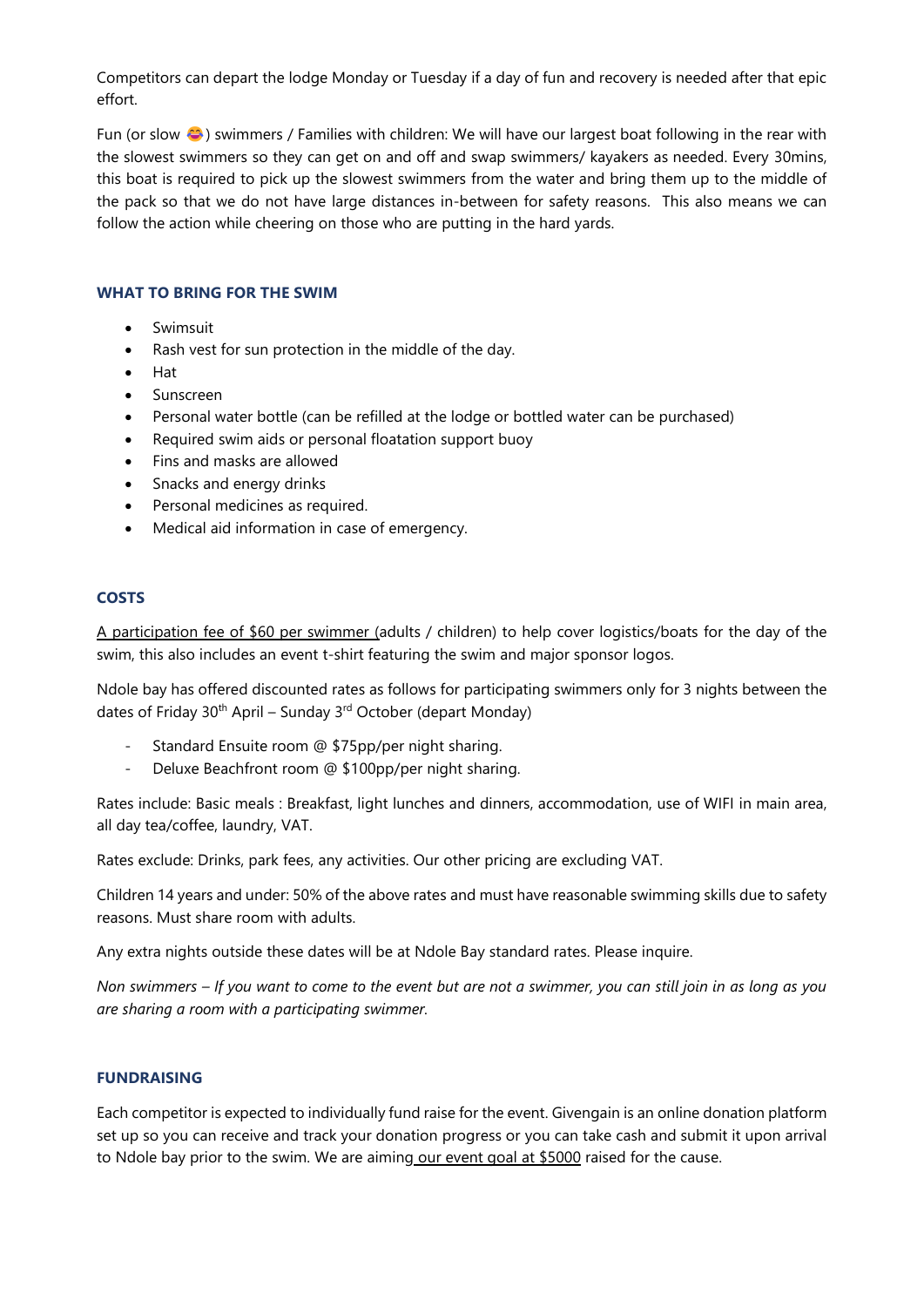Competitors can depart the lodge Monday or Tuesday if a day of fun and recovery is needed after that epic effort.

Fun (or slow  $\bigcirc$ ) swimmers / Families with children: We will have our largest boat following in the rear with the slowest swimmers so they can get on and off and swap swimmers/ kayakers as needed. Every 30mins, this boat is required to pick up the slowest swimmers from the water and bring them up to the middle of the pack so that we do not have large distances in-between for safety reasons. This also means we can follow the action while cheering on those who are putting in the hard yards.

#### **WHAT TO BRING FOR THE SWIM**

- Swimsuit
- Rash vest for sun protection in the middle of the day.
- Hat
- Sunscreen
- Personal water bottle (can be refilled at the lodge or bottled water can be purchased)
- Required swim aids or personal floatation support buoy
- Fins and masks are allowed
- Snacks and energy drinks
- Personal medicines as required.
- Medical aid information in case of emergency.

#### **COSTS**

A participation fee of \$60 per swimmer (adults / children) to help cover logistics/boats for the day of the swim, this also includes an event t-shirt featuring the swim and major sponsor logos.

Ndole bay has offered discounted rates as follows for participating swimmers only for 3 nights between the dates of Friday 30<sup>th</sup> April – Sunday 3<sup>rd</sup> October (depart Monday)

- Standard Ensuite room @ \$75pp/per night sharing.
- Deluxe Beachfront room @ \$100pp/per night sharing.

Rates include: Basic meals : Breakfast, light lunches and dinners, accommodation, use of WIFI in main area, all day tea/coffee, laundry, VAT.

Rates exclude: Drinks, park fees, any activities. Our other pricing are excluding VAT.

Children 14 years and under: 50% of the above rates and must have reasonable swimming skills due to safety reasons. Must share room with adults.

Any extra nights outside these dates will be at Ndole Bay standard rates. Please inquire.

*Non swimmers – If you want to come to the event but are not a swimmer, you can still join in as long as you are sharing a room with a participating swimmer.* 

#### **FUNDRAISING**

Each competitor is expected to individually fund raise for the event. Givengain is an online donation platform set up so you can receive and track your donation progress or you can take cash and submit it upon arrival to Ndole bay prior to the swim. We are aiming our event goal at \$5000 raised for the cause.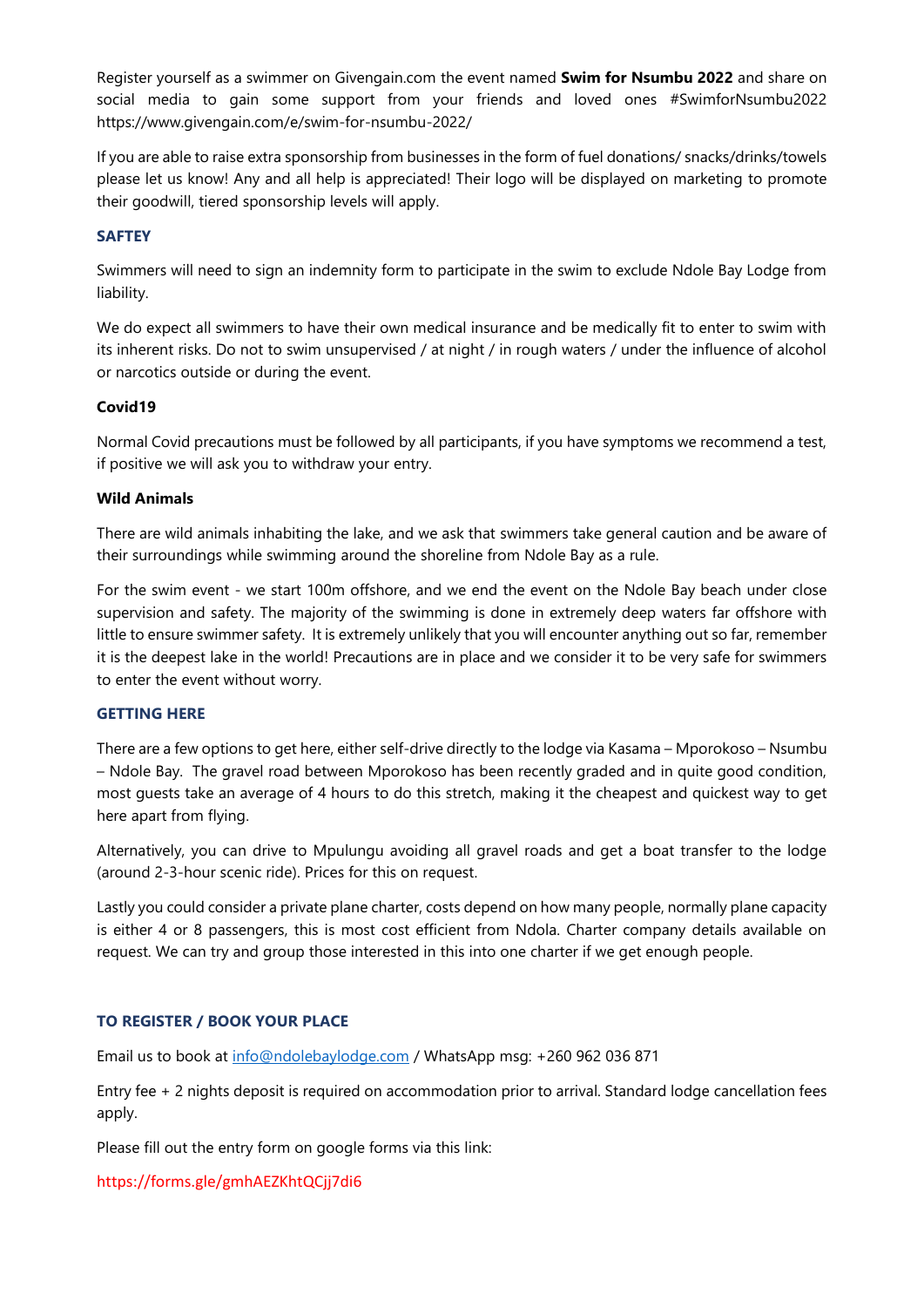Register yourself as a swimmer on Givengain.com the event named **Swim for Nsumbu 2022** and share on social media to gain some support from your friends and loved ones #SwimforNsumbu2022 https://www.givengain.com/e/swim-for-nsumbu-2022/

If you are able to raise extra sponsorship from businesses in the form of fuel donations/ snacks/drinks/towels please let us know! Any and all help is appreciated! Their logo will be displayed on marketing to promote their goodwill, tiered sponsorship levels will apply.

# **SAFTEY**

Swimmers will need to sign an indemnity form to participate in the swim to exclude Ndole Bay Lodge from liability.

We do expect all swimmers to have their own medical insurance and be medically fit to enter to swim with its inherent risks. Do not to swim unsupervised / at night / in rough waters / under the influence of alcohol or narcotics outside or during the event.

#### **Covid19**

Normal Covid precautions must be followed by all participants, if you have symptoms we recommend a test, if positive we will ask you to withdraw your entry.

#### **Wild Animals**

There are wild animals inhabiting the lake, and we ask that swimmers take general caution and be aware of their surroundings while swimming around the shoreline from Ndole Bay as a rule.

For the swim event - we start 100m offshore, and we end the event on the Ndole Bay beach under close supervision and safety. The majority of the swimming is done in extremely deep waters far offshore with little to ensure swimmer safety. It is extremely unlikely that you will encounter anything out so far, remember it is the deepest lake in the world! Precautions are in place and we consider it to be very safe for swimmers to enter the event without worry.

#### **GETTING HERE**

There are a few options to get here, either self-drive directly to the lodge via Kasama – Mporokoso – Nsumbu – Ndole Bay. The gravel road between Mporokoso has been recently graded and in quite good condition, most guests take an average of 4 hours to do this stretch, making it the cheapest and quickest way to get here apart from flying.

Alternatively, you can drive to Mpulungu avoiding all gravel roads and get a boat transfer to the lodge (around 2-3-hour scenic ride). Prices for this on request.

Lastly you could consider a private plane charter, costs depend on how many people, normally plane capacity is either 4 or 8 passengers, this is most cost efficient from Ndola. Charter company details available on request. We can try and group those interested in this into one charter if we get enough people.

#### **TO REGISTER / BOOK YOUR PLACE**

Email us to book at [info@ndolebaylodge.com](mailto:info@ndolebaylodge.com) / WhatsApp msg: +260 962 036 871

Entry fee + 2 nights deposit is required on accommodation prior to arrival. Standard lodge cancellation fees apply.

Please fill out the entry form on google forms via this link:

https://forms.gle/gmhAEZKhtQCjj7di6